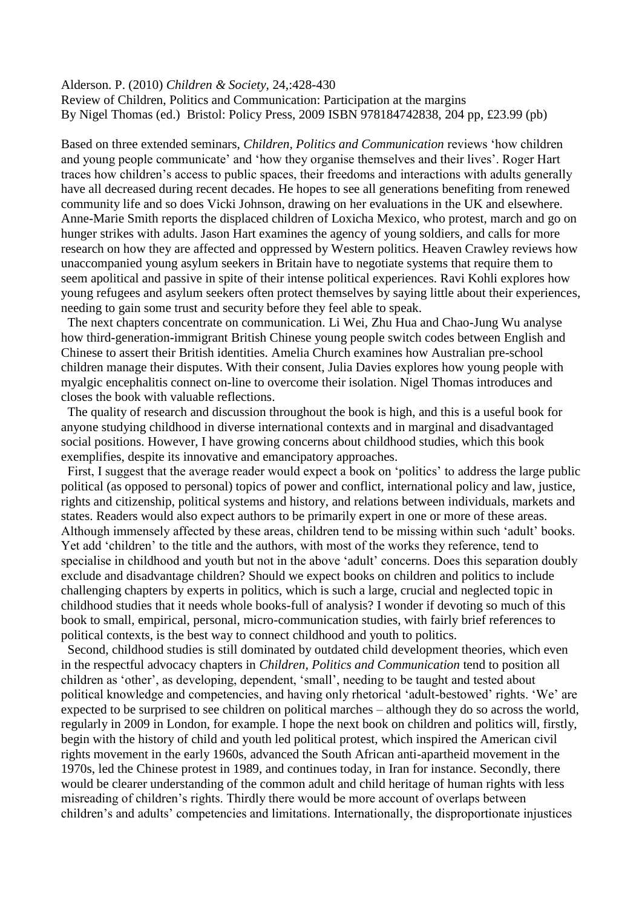## Alderson. P. (2010) *Children & Society,* 24,:428-430

Review of Children, Politics and Communication: Participation at the margins By Nigel Thomas (ed.) Bristol: Policy Press, 2009 ISBN 978184742838, 204 pp, £23.99 (pb)

Based on three extended seminars, *Children, Politics and Communication* reviews 'how children and young people communicate' and 'how they organise themselves and their lives'. Roger Hart traces how children's access to public spaces, their freedoms and interactions with adults generally have all decreased during recent decades. He hopes to see all generations benefiting from renewed community life and so does Vicki Johnson, drawing on her evaluations in the UK and elsewhere. Anne-Marie Smith reports the displaced children of Loxicha Mexico, who protest, march and go on hunger strikes with adults. Jason Hart examines the agency of young soldiers, and calls for more research on how they are affected and oppressed by Western politics. Heaven Crawley reviews how unaccompanied young asylum seekers in Britain have to negotiate systems that require them to seem apolitical and passive in spite of their intense political experiences. Ravi Kohli explores how young refugees and asylum seekers often protect themselves by saying little about their experiences, needing to gain some trust and security before they feel able to speak.

 The next chapters concentrate on communication. Li Wei, Zhu Hua and Chao-Jung Wu analyse how third-generation-immigrant British Chinese young people switch codes between English and Chinese to assert their British identities. Amelia Church examines how Australian pre-school children manage their disputes. With their consent, Julia Davies explores how young people with myalgic encephalitis connect on-line to overcome their isolation. Nigel Thomas introduces and closes the book with valuable reflections.

 The quality of research and discussion throughout the book is high, and this is a useful book for anyone studying childhood in diverse international contexts and in marginal and disadvantaged social positions. However, I have growing concerns about childhood studies, which this book exemplifies, despite its innovative and emancipatory approaches.

 First, I suggest that the average reader would expect a book on 'politics' to address the large public political (as opposed to personal) topics of power and conflict, international policy and law, justice, rights and citizenship, political systems and history, and relations between individuals, markets and states. Readers would also expect authors to be primarily expert in one or more of these areas. Although immensely affected by these areas, children tend to be missing within such 'adult' books. Yet add 'children' to the title and the authors, with most of the works they reference, tend to specialise in childhood and youth but not in the above 'adult' concerns. Does this separation doubly exclude and disadvantage children? Should we expect books on children and politics to include challenging chapters by experts in politics, which is such a large, crucial and neglected topic in childhood studies that it needs whole books-full of analysis? I wonder if devoting so much of this book to small, empirical, personal, micro-communication studies, with fairly brief references to political contexts, is the best way to connect childhood and youth to politics.

 Second, childhood studies is still dominated by outdated child development theories, which even in the respectful advocacy chapters in *Children, Politics and Communication* tend to position all children as 'other', as developing, dependent, 'small', needing to be taught and tested about political knowledge and competencies, and having only rhetorical 'adult-bestowed' rights. 'We' are expected to be surprised to see children on political marches – although they do so across the world, regularly in 2009 in London, for example. I hope the next book on children and politics will, firstly, begin with the history of child and youth led political protest, which inspired the American civil rights movement in the early 1960s, advanced the South African anti-apartheid movement in the 1970s, led the Chinese protest in 1989, and continues today, in Iran for instance. Secondly, there would be clearer understanding of the common adult and child heritage of human rights with less misreading of children's rights. Thirdly there would be more account of overlaps between children's and adults' competencies and limitations. Internationally, the disproportionate injustices